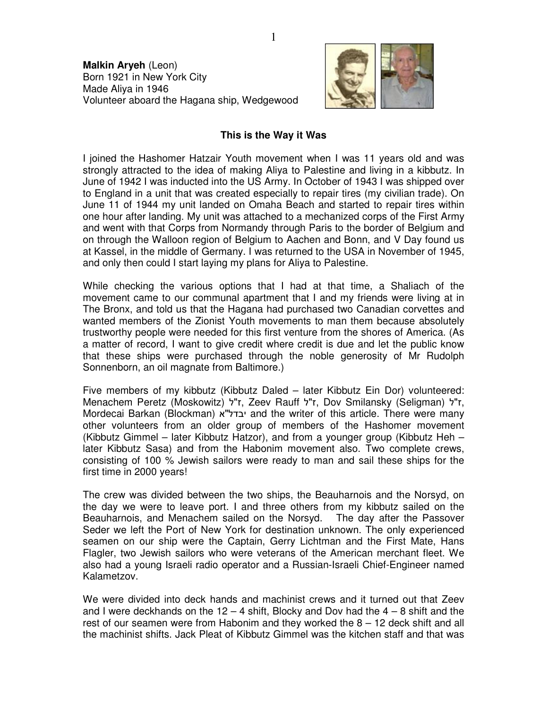**Malkin Aryeh** (Leon) Born 1921 in New York City Made Aliya in 1946 Volunteer aboard the Hagana ship, Wedgewood



## **This is the Way it Was**

I joined the Hashomer Hatzair Youth movement when I was 11 years old and was strongly attracted to the idea of making Aliya to Palestine and living in a kibbutz. In June of 1942 I was inducted into the US Army. In October of 1943 I was shipped over to England in a unit that was created especially to repair tires (my civilian trade). On June 11 of 1944 my unit landed on Omaha Beach and started to repair tires within one hour after landing. My unit was attached to a mechanized corps of the First Army and went with that Corps from Normandy through Paris to the border of Belgium and on through the Walloon region of Belgium to Aachen and Bonn, and V Day found us at Kassel, in the middle of Germany. I was returned to the USA in November of 1945, and only then could I start laying my plans for Aliya to Palestine.

While checking the various options that I had at that time, a Shaliach of the movement came to our communal apartment that I and my friends were living at in The Bronx, and told us that the Hagana had purchased two Canadian corvettes and wanted members of the Zionist Youth movements to man them because absolutely trustworthy people were needed for this first venture from the shores of America. (As a matter of record, I want to give credit where credit is due and let the public know that these ships were purchased through the noble generosity of Mr Rudolph Sonnenborn, an oil magnate from Baltimore.)

Five members of my kibbutz (Kibbutz Daled – later Kibbutz Ein Dor) volunteered: Menachem Peretz (Moskowitz) ז"ל, Zeev Rauff ל"ל, Dov Smilansky (Seligman) ז"ל, Mordecai Barkan (Blockman) "א יבדל and the writer of this article. There were many other volunteers from an older group of members of the Hashomer movement (Kibbutz Gimmel – later Kibbutz Hatzor), and from a younger group (Kibbutz Heh – later Kibbutz Sasa) and from the Habonim movement also. Two complete crews, consisting of 100 % Jewish sailors were ready to man and sail these ships for the first time in 2000 years!

The crew was divided between the two ships, the Beauharnois and the Norsyd, on the day we were to leave port. I and three others from my kibbutz sailed on the Beauharnois, and Menachem sailed on the Norsyd. The day after the Passover Seder we left the Port of New York for destination unknown. The only experienced seamen on our ship were the Captain, Gerry Lichtman and the First Mate, Hans Flagler, two Jewish sailors who were veterans of the American merchant fleet. We also had a young Israeli radio operator and a Russian-Israeli Chief-Engineer named Kalametzov.

We were divided into deck hands and machinist crews and it turned out that Zeev and I were deckhands on the  $12 - 4$  shift, Blocky and Dov had the  $4 - 8$  shift and the rest of our seamen were from Habonim and they worked the 8 – 12 deck shift and all the machinist shifts. Jack Pleat of Kibbutz Gimmel was the kitchen staff and that was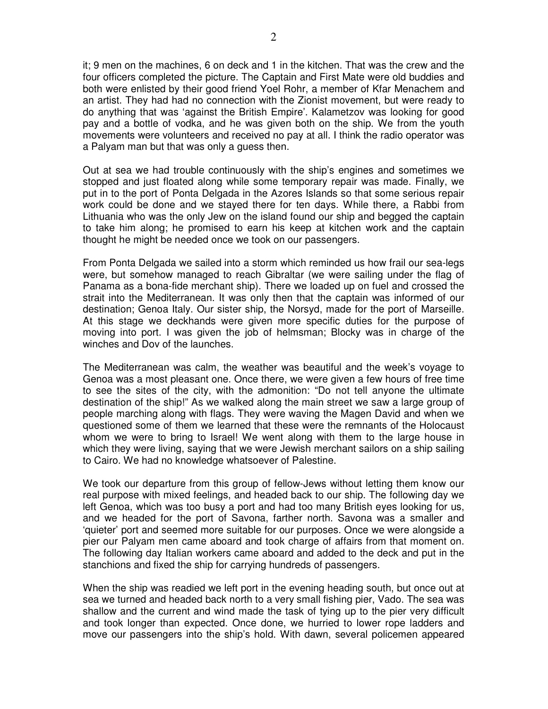it; 9 men on the machines, 6 on deck and 1 in the kitchen. That was the crew and the four officers completed the picture. The Captain and First Mate were old buddies and both were enlisted by their good friend Yoel Rohr, a member of Kfar Menachem and an artist. They had had no connection with the Zionist movement, but were ready to do anything that was 'against the British Empire'. Kalametzov was looking for good pay and a bottle of vodka, and he was given both on the ship. We from the youth movements were volunteers and received no pay at all. I think the radio operator was a Palyam man but that was only a guess then.

Out at sea we had trouble continuously with the ship's engines and sometimes we stopped and just floated along while some temporary repair was made. Finally, we put in to the port of Ponta Delgada in the Azores Islands so that some serious repair work could be done and we stayed there for ten days. While there, a Rabbi from Lithuania who was the only Jew on the island found our ship and begged the captain to take him along; he promised to earn his keep at kitchen work and the captain thought he might be needed once we took on our passengers.

From Ponta Delgada we sailed into a storm which reminded us how frail our sea-legs were, but somehow managed to reach Gibraltar (we were sailing under the flag of Panama as a bona-fide merchant ship). There we loaded up on fuel and crossed the strait into the Mediterranean. It was only then that the captain was informed of our destination; Genoa Italy. Our sister ship, the Norsyd, made for the port of Marseille. At this stage we deckhands were given more specific duties for the purpose of moving into port. I was given the job of helmsman; Blocky was in charge of the winches and Dov of the launches.

The Mediterranean was calm, the weather was beautiful and the week's voyage to Genoa was a most pleasant one. Once there, we were given a few hours of free time to see the sites of the city, with the admonition: "Do not tell anyone the ultimate destination of the ship!" As we walked along the main street we saw a large group of people marching along with flags. They were waving the Magen David and when we questioned some of them we learned that these were the remnants of the Holocaust whom we were to bring to Israel! We went along with them to the large house in which they were living, saying that we were Jewish merchant sailors on a ship sailing to Cairo. We had no knowledge whatsoever of Palestine.

We took our departure from this group of fellow-Jews without letting them know our real purpose with mixed feelings, and headed back to our ship. The following day we left Genoa, which was too busy a port and had too many British eyes looking for us, and we headed for the port of Savona, farther north. Savona was a smaller and 'quieter' port and seemed more suitable for our purposes. Once we were alongside a pier our Palyam men came aboard and took charge of affairs from that moment on. The following day Italian workers came aboard and added to the deck and put in the stanchions and fixed the ship for carrying hundreds of passengers.

When the ship was readied we left port in the evening heading south, but once out at sea we turned and headed back north to a very small fishing pier, Vado. The sea was shallow and the current and wind made the task of tying up to the pier very difficult and took longer than expected. Once done, we hurried to lower rope ladders and move our passengers into the ship's hold. With dawn, several policemen appeared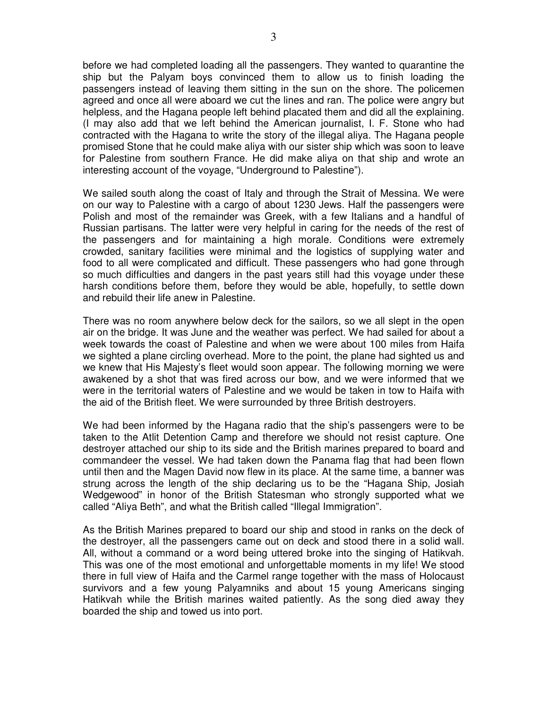before we had completed loading all the passengers. They wanted to quarantine the ship but the Palyam boys convinced them to allow us to finish loading the passengers instead of leaving them sitting in the sun on the shore. The policemen agreed and once all were aboard we cut the lines and ran. The police were angry but helpless, and the Hagana people left behind placated them and did all the explaining. (I may also add that we left behind the American journalist, I. F. Stone who had contracted with the Hagana to write the story of the illegal aliya. The Hagana people promised Stone that he could make aliya with our sister ship which was soon to leave for Palestine from southern France. He did make aliya on that ship and wrote an interesting account of the voyage, "Underground to Palestine").

We sailed south along the coast of Italy and through the Strait of Messina. We were on our way to Palestine with a cargo of about 1230 Jews. Half the passengers were Polish and most of the remainder was Greek, with a few Italians and a handful of Russian partisans. The latter were very helpful in caring for the needs of the rest of the passengers and for maintaining a high morale. Conditions were extremely crowded, sanitary facilities were minimal and the logistics of supplying water and food to all were complicated and difficult. These passengers who had gone through so much difficulties and dangers in the past years still had this voyage under these harsh conditions before them, before they would be able, hopefully, to settle down and rebuild their life anew in Palestine.

There was no room anywhere below deck for the sailors, so we all slept in the open air on the bridge. It was June and the weather was perfect. We had sailed for about a week towards the coast of Palestine and when we were about 100 miles from Haifa we sighted a plane circling overhead. More to the point, the plane had sighted us and we knew that His Majesty's fleet would soon appear. The following morning we were awakened by a shot that was fired across our bow, and we were informed that we were in the territorial waters of Palestine and we would be taken in tow to Haifa with the aid of the British fleet. We were surrounded by three British destroyers.

We had been informed by the Hagana radio that the ship's passengers were to be taken to the Atlit Detention Camp and therefore we should not resist capture. One destroyer attached our ship to its side and the British marines prepared to board and commandeer the vessel. We had taken down the Panama flag that had been flown until then and the Magen David now flew in its place. At the same time, a banner was strung across the length of the ship declaring us to be the "Hagana Ship, Josiah Wedgewood" in honor of the British Statesman who strongly supported what we called "Aliya Beth", and what the British called "Illegal Immigration".

As the British Marines prepared to board our ship and stood in ranks on the deck of the destroyer, all the passengers came out on deck and stood there in a solid wall. All, without a command or a word being uttered broke into the singing of Hatikvah. This was one of the most emotional and unforgettable moments in my life! We stood there in full view of Haifa and the Carmel range together with the mass of Holocaust survivors and a few young Palyamniks and about 15 young Americans singing Hatikvah while the British marines waited patiently. As the song died away they boarded the ship and towed us into port.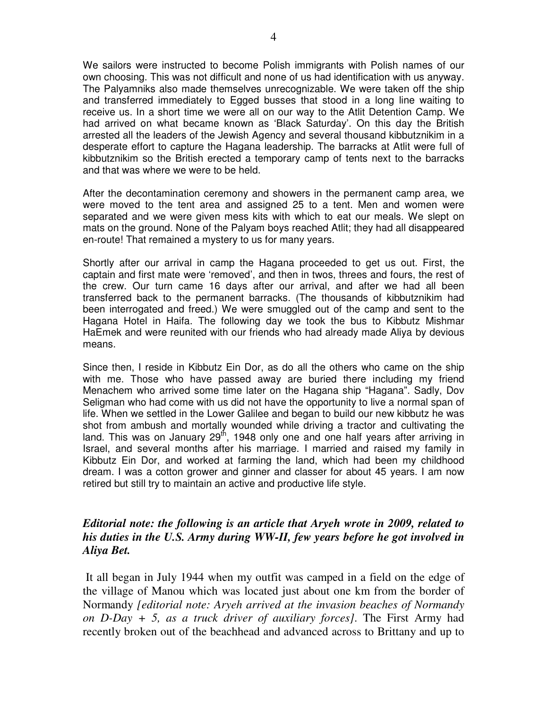We sailors were instructed to become Polish immigrants with Polish names of our own choosing. This was not difficult and none of us had identification with us anyway. The Palyamniks also made themselves unrecognizable. We were taken off the ship and transferred immediately to Egged busses that stood in a long line waiting to receive us. In a short time we were all on our way to the Atlit Detention Camp. We had arrived on what became known as 'Black Saturday'. On this day the British arrested all the leaders of the Jewish Agency and several thousand kibbutznikim in a desperate effort to capture the Hagana leadership. The barracks at Atlit were full of kibbutznikim so the British erected a temporary camp of tents next to the barracks and that was where we were to be held.

After the decontamination ceremony and showers in the permanent camp area, we were moved to the tent area and assigned 25 to a tent. Men and women were separated and we were given mess kits with which to eat our meals. We slept on mats on the ground. None of the Palyam boys reached Atlit; they had all disappeared en-route! That remained a mystery to us for many years.

Shortly after our arrival in camp the Hagana proceeded to get us out. First, the captain and first mate were 'removed', and then in twos, threes and fours, the rest of the crew. Our turn came 16 days after our arrival, and after we had all been transferred back to the permanent barracks. (The thousands of kibbutznikim had been interrogated and freed.) We were smuggled out of the camp and sent to the Hagana Hotel in Haifa. The following day we took the bus to Kibbutz Mishmar HaEmek and were reunited with our friends who had already made Aliya by devious means.

Since then, I reside in Kibbutz Ein Dor, as do all the others who came on the ship with me. Those who have passed away are buried there including my friend Menachem who arrived some time later on the Hagana ship "Hagana". Sadly, Dov Seligman who had come with us did not have the opportunity to live a normal span of life. When we settled in the Lower Galilee and began to build our new kibbutz he was shot from ambush and mortally wounded while driving a tractor and cultivating the land. This was on January  $29<sup>th</sup>$ , 1948 only one and one half years after arriving in Israel, and several months after his marriage. I married and raised my family in Kibbutz Ein Dor, and worked at farming the land, which had been my childhood dream. I was a cotton grower and ginner and classer for about 45 years. I am now retired but still try to maintain an active and productive life style.

## *Editorial note: the following is an article that Aryeh wrote in 2009, related to his duties in the U.S. Army during WW-II, few years before he got involved in Aliya Bet.*

 It all began in July 1944 when my outfit was camped in a field on the edge of the village of Manou which was located just about one km from the border of Normandy *[editorial note: Aryeh arrived at the invasion beaches of Normandy on D-Day + 5, as a truck driver of auxiliary forces]*. The First Army had recently broken out of the beachhead and advanced across to Brittany and up to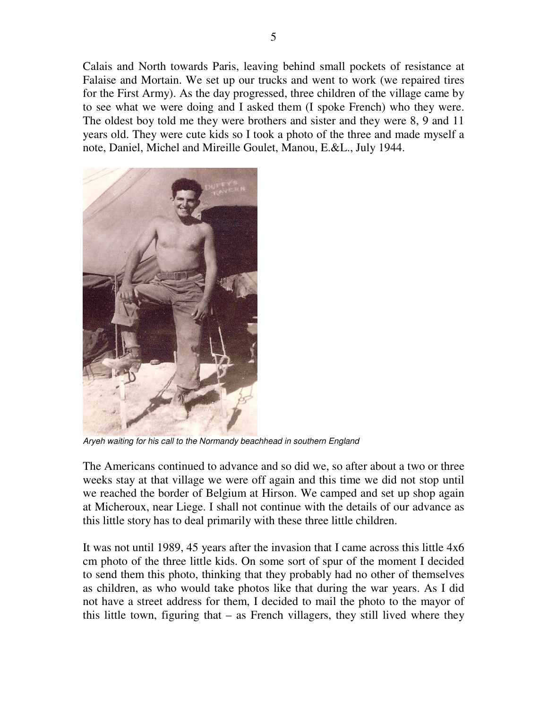Calais and North towards Paris, leaving behind small pockets of resistance at Falaise and Mortain. We set up our trucks and went to work (we repaired tires for the First Army). As the day progressed, three children of the village came by to see what we were doing and I asked them (I spoke French) who they were. The oldest boy told me they were brothers and sister and they were 8, 9 and 11 years old. They were cute kids so I took a photo of the three and made myself a note, Daniel, Michel and Mireille Goulet, Manou, E.&L., July 1944.



Aryeh waiting for his call to the Normandy beachhead in southern England

The Americans continued to advance and so did we, so after about a two or three weeks stay at that village we were off again and this time we did not stop until we reached the border of Belgium at Hirson. We camped and set up shop again at Micheroux, near Liege. I shall not continue with the details of our advance as this little story has to deal primarily with these three little children.

It was not until 1989, 45 years after the invasion that I came across this little 4x6 cm photo of the three little kids. On some sort of spur of the moment I decided to send them this photo, thinking that they probably had no other of themselves as children, as who would take photos like that during the war years. As I did not have a street address for them, I decided to mail the photo to the mayor of this little town, figuring that – as French villagers, they still lived where they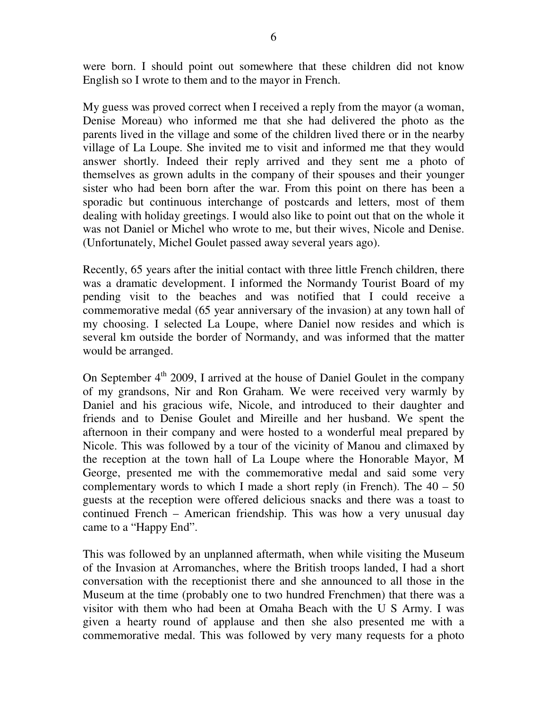were born. I should point out somewhere that these children did not know English so I wrote to them and to the mayor in French.

My guess was proved correct when I received a reply from the mayor (a woman, Denise Moreau) who informed me that she had delivered the photo as the parents lived in the village and some of the children lived there or in the nearby village of La Loupe. She invited me to visit and informed me that they would answer shortly. Indeed their reply arrived and they sent me a photo of themselves as grown adults in the company of their spouses and their younger sister who had been born after the war. From this point on there has been a sporadic but continuous interchange of postcards and letters, most of them dealing with holiday greetings. I would also like to point out that on the whole it was not Daniel or Michel who wrote to me, but their wives, Nicole and Denise. (Unfortunately, Michel Goulet passed away several years ago).

Recently, 65 years after the initial contact with three little French children, there was a dramatic development. I informed the Normandy Tourist Board of my pending visit to the beaches and was notified that I could receive a commemorative medal (65 year anniversary of the invasion) at any town hall of my choosing. I selected La Loupe, where Daniel now resides and which is several km outside the border of Normandy, and was informed that the matter would be arranged.

On September  $4<sup>th</sup>$  2009, I arrived at the house of Daniel Goulet in the company of my grandsons, Nir and Ron Graham. We were received very warmly by Daniel and his gracious wife, Nicole, and introduced to their daughter and friends and to Denise Goulet and Mireille and her husband. We spent the afternoon in their company and were hosted to a wonderful meal prepared by Nicole. This was followed by a tour of the vicinity of Manou and climaxed by the reception at the town hall of La Loupe where the Honorable Mayor, M George, presented me with the commemorative medal and said some very complementary words to which I made a short reply (in French). The  $40 - 50$ guests at the reception were offered delicious snacks and there was a toast to continued French – American friendship. This was how a very unusual day came to a "Happy End".

This was followed by an unplanned aftermath, when while visiting the Museum of the Invasion at Arromanches, where the British troops landed, I had a short conversation with the receptionist there and she announced to all those in the Museum at the time (probably one to two hundred Frenchmen) that there was a visitor with them who had been at Omaha Beach with the U S Army. I was given a hearty round of applause and then she also presented me with a commemorative medal. This was followed by very many requests for a photo